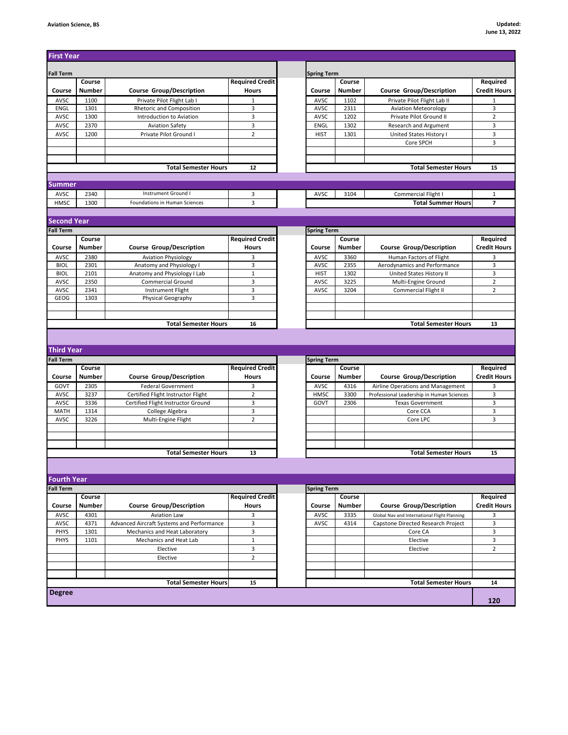| <b>Fall Term</b>                       |               |                                                      | <b>Required Credit</b> | <b>Spring Term</b> |               |                                              |                                             |
|----------------------------------------|---------------|------------------------------------------------------|------------------------|--------------------|---------------|----------------------------------------------|---------------------------------------------|
|                                        | Course        |                                                      |                        |                    | Course        |                                              | Required                                    |
| Course                                 | <b>Number</b> | <b>Course Group/Description</b>                      | <b>Hours</b>           | Course             | <b>Number</b> | <b>Course Group/Description</b>              | <b>Credit Hours</b>                         |
| AVSC                                   | 1100          | Private Pilot Flight Lab I                           | $\mathbf{1}$           | AVSC               | 1102          | Private Pilot Flight Lab II                  |                                             |
| ENGL                                   | 1301          | Rhetoric and Composition<br>Introduction to Aviation | 3<br>3                 | AVSC               | 2311          | <b>Aviation Meteorology</b>                  |                                             |
| AVSC                                   | 1300          |                                                      |                        | AVSC               | 1202          | Private Pilot Ground II                      |                                             |
| AVSC                                   | 2370          | <b>Aviation Safety</b>                               | $\overline{3}$         | ENGL               | 1302          | Research and Argument                        |                                             |
| AVSC                                   | 1200          | Private Pilot Ground I                               | $\overline{2}$         | <b>HIST</b>        | 1301          | United States History I                      |                                             |
|                                        |               |                                                      |                        |                    |               | Core SPCH                                    |                                             |
|                                        |               |                                                      |                        |                    |               |                                              |                                             |
|                                        |               | <b>Total Semester Hours</b>                          | 12                     |                    |               | <b>Total Semester Hours</b>                  |                                             |
|                                        |               |                                                      |                        |                    |               |                                              |                                             |
| Summer                                 |               | Instrument Ground I                                  |                        |                    |               |                                              |                                             |
| AVSC                                   | 2340          |                                                      | 3                      | AVSC               | 3104          | Commercial Flight I                          |                                             |
| HMSC                                   | 1300          | Foundations in Human Sciences                        | 3                      |                    |               | <b>Total Summer Hours</b>                    |                                             |
| <b>Second Year</b>                     |               |                                                      |                        |                    |               |                                              |                                             |
| <b>Fall Term</b>                       |               |                                                      |                        | <b>Spring Term</b> |               |                                              |                                             |
|                                        | Course        |                                                      | <b>Required Credit</b> |                    | Course        |                                              | Required                                    |
| Course                                 | <b>Number</b> | <b>Course Group/Description</b>                      | <b>Hours</b>           | Course             | <b>Number</b> | <b>Course Group/Description</b>              | <b>Credit Hours</b>                         |
| AVSC                                   | 2380          | <b>Aviation Physiology</b>                           | 3                      | AVSC               | 3360          | Human Factors of Flight                      |                                             |
| <b>BIOL</b>                            | 2301          | Anatomy and Physiology I                             | 3                      | AVSC               | 2355          | Aerodynamics and Performance                 |                                             |
| <b>BIOL</b>                            | 2101          | Anatomy and Physiology I Lab                         | $\mathbf 1$            | <b>HIST</b>        | 1302          | United States History II                     |                                             |
| AVSC                                   | 2350          | <b>Commercial Ground</b>                             | 3                      | AVSC               | 3225          | Multi-Engine Ground                          |                                             |
| AVSC                                   | 2341          | <b>Instrument Flight</b>                             | 3                      | AVSC               | 3204          | Commercial Flight II                         |                                             |
| GEOG                                   | 1303          | Physical Geography                                   | 3                      |                    |               |                                              |                                             |
|                                        |               |                                                      |                        |                    |               |                                              |                                             |
|                                        |               |                                                      |                        |                    |               |                                              |                                             |
|                                        |               | <b>Total Semester Hours</b>                          | 16                     |                    |               | <b>Total Semester Hours</b>                  |                                             |
|                                        |               |                                                      |                        |                    |               |                                              |                                             |
|                                        |               |                                                      |                        |                    |               |                                              |                                             |
| <b>Third Year</b>                      |               |                                                      |                        |                    |               |                                              |                                             |
| <b>Fall Term</b>                       |               |                                                      |                        | <b>Spring Term</b> |               |                                              |                                             |
|                                        | Course        |                                                      | <b>Required Credit</b> |                    | Course        |                                              |                                             |
| Course                                 | <b>Number</b> | <b>Course Group/Description</b>                      | Hours                  | Course             | <b>Number</b> | <b>Course Group/Description</b>              |                                             |
| GOVT                                   | 2305          | <b>Federal Government</b>                            | 3                      | AVSC               | 4316          | Airline Operations and Management            |                                             |
| AVSC                                   | 3237          | Certified Flight Instructor Flight                   | $\overline{2}$         | <b>HMSC</b>        | 3300          | Professional Leadership in Human Sciences    |                                             |
| AVSC                                   | 3336          | Certified Flight Instructor Ground                   | 3                      | GOVT               | 2306          | <b>Texas Government</b>                      |                                             |
| <b>MATH</b>                            | 1314          | College Algebra                                      | 3                      |                    |               | Core CCA                                     |                                             |
| AVSC                                   | 3226          | Multi-Engine Flight                                  | $\overline{2}$         |                    |               | Core LPC                                     |                                             |
|                                        |               |                                                      |                        |                    |               |                                              |                                             |
|                                        |               |                                                      |                        |                    |               |                                              |                                             |
|                                        |               | <b>Total Semester Hours</b>                          | 13                     |                    |               | <b>Total Semester Hours</b>                  |                                             |
|                                        |               |                                                      |                        |                    |               |                                              | 13<br>Required<br><b>Credit Hours</b><br>15 |
|                                        |               |                                                      |                        |                    |               |                                              |                                             |
| <b>Fourth Year</b><br><b>Fall Term</b> |               |                                                      |                        |                    |               |                                              |                                             |
|                                        | Course        |                                                      | <b>Required Credit</b> | <b>Spring Term</b> | Course        |                                              |                                             |
| Course                                 | Number        |                                                      | <b>Hours</b>           | Course             | <b>Number</b> | <b>Course Group/Description</b>              |                                             |
|                                        |               | <b>Course Group/Description</b>                      |                        |                    |               |                                              |                                             |
| AVSC                                   | 4301          | <b>Aviation Law</b>                                  | 3                      | AVSC               | 3335          | Global Nav and International Flight Planning |                                             |
| AVSC                                   | 4371          | Advanced Aircraft Systems and Performance            | 3                      | AVSC               | 4314          | Capstone Directed Research Project           |                                             |
| PHYS                                   | 1301          | Mechanics and Heat Laboratory                        | 3                      |                    |               | Core CA                                      |                                             |
| PHYS                                   | 1101          | Mechanics and Heat Lab                               | $\mathbf{1}$           |                    |               | Elective                                     |                                             |
|                                        |               | Elective                                             | 3                      |                    |               | Elective                                     |                                             |
|                                        |               | Elective                                             | $\overline{2}$         |                    |               |                                              |                                             |
|                                        |               |                                                      |                        |                    |               |                                              | Required<br><b>Credit Hours</b>             |
| <b>Degree</b>                          |               | <b>Total Semester Hours</b>                          | 15                     |                    |               | <b>Total Semester Hours</b>                  | 14                                          |